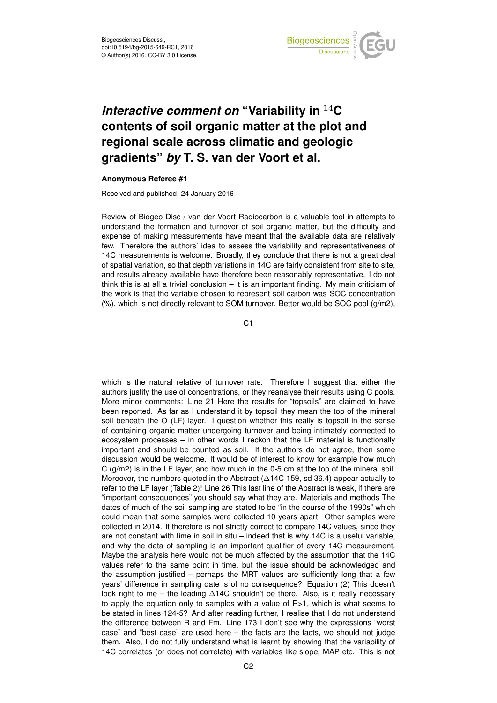

## *Interactive comment on* **"Variability in** <sup>14</sup>**C contents of soil organic matter at the plot and regional scale across climatic and geologic gradients"** *by* **T. S. van der Voort et al.**

## **Anonymous Referee #1**

Received and published: 24 January 2016

Review of Biogeo Disc / van der Voort Radiocarbon is a valuable tool in attempts to understand the formation and turnover of soil organic matter, but the difficulty and expense of making measurements have meant that the available data are relatively few. Therefore the authors' idea to assess the variability and representativeness of 14C measurements is welcome. Broadly, they conclude that there is not a great deal of spatial variation, so that depth variations in 14C are fairly consistent from site to site, and results already available have therefore been reasonably representative. I do not think this is at all a trivial conclusion – it is an important finding. My main criticism of the work is that the variable chosen to represent soil carbon was SOC concentration  $(\%)$ , which is not directly relevant to SOM turnover. Better would be SOC pool  $(g/m2)$ ,

C1

which is the natural relative of turnover rate. Therefore I suggest that either the authors justify the use of concentrations, or they reanalyse their results using C pools. More minor comments: Line 21 Here the results for "topsoils" are claimed to have been reported. As far as I understand it by topsoil they mean the top of the mineral soil beneath the O (LF) layer. I question whether this really is topsoil in the sense of containing organic matter undergoing turnover and being intimately connected to ecosystem processes – in other words I reckon that the LF material is functionally important and should be counted as soil. If the authors do not agree, then some discussion would be welcome. It would be of interest to know for example how much C  $(g/m2)$  is in the LF layer, and how much in the 0-5 cm at the top of the mineral soil. Moreover, the numbers quoted in the Abstract (∆14C 159, sd 36.4) appear actually to refer to the LF layer (Table 2)! Line 26 This last line of the Abstract is weak, if there are "important consequences" you should say what they are. Materials and methods The dates of much of the soil sampling are stated to be "in the course of the 1990s" which could mean that some samples were collected 10 years apart. Other samples were collected in 2014. It therefore is not strictly correct to compare 14C values, since they are not constant with time in soil in situ – indeed that is why 14C is a useful variable, and why the data of sampling is an important qualifier of every 14C measurement. Maybe the analysis here would not be much affected by the assumption that the 14C values refer to the same point in time, but the issue should be acknowledged and the assumption justified – perhaps the MRT values are sufficiently long that a few years' difference in sampling date is of no consequence? Equation (2) This doesn't look right to me – the leading ∆14C shouldn't be there. Also, is it really necessary to apply the equation only to samples with a value of  $R>1$ , which is what seems to be stated in lines 124-5? And after reading further, I realise that I do not understand the difference between R and Fm. Line 173 I don't see why the expressions "worst case" and "best case" are used here – the facts are the facts, we should not judge them. Also, I do not fully understand what is learnt by showing that the variability of 14C correlates (or does not correlate) with variables like slope, MAP etc. This is not